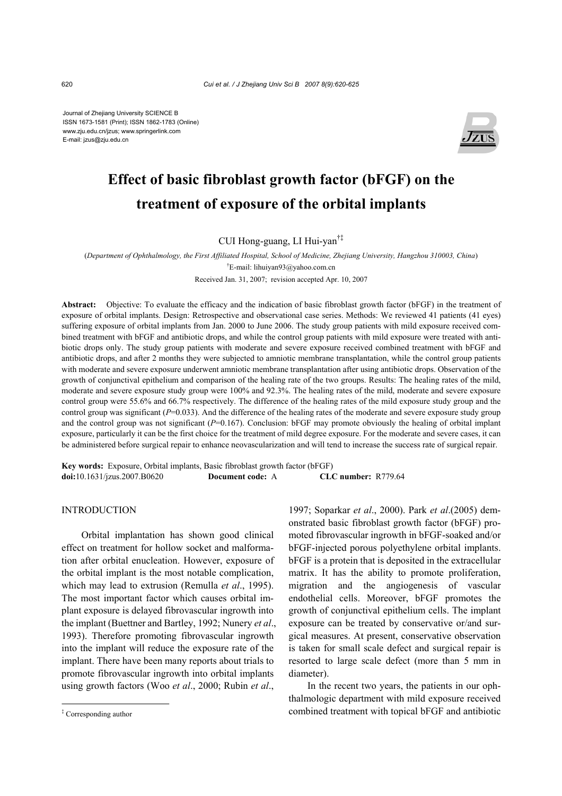Journal of Zhejiang University SCIENCE B ISSN 1673-1581 (Print); ISSN 1862-1783 (Online) www.zju.edu.cn/jzus; www.springerlink.com E-mail: jzus@zju.edu.cn



# **Effect of basic fibroblast growth factor (bFGF) on the treatment of exposure of the orbital implants**

CUI Hong-guang, LI Hui-yan†‡

(*Department of Ophthalmology, the First Affiliated Hospital, School of Medicine, Zhejiang University, Hangzhou 310003, China*) † E-mail: lihuiyan93@yahoo.com.cn

Received Jan. 31, 2007; revision accepted Apr. 10, 2007

**Abstract:** Objective: To evaluate the efficacy and the indication of basic fibroblast growth factor (bFGF) in the treatment of exposure of orbital implants. Design: Retrospective and observational case series. Methods: We reviewed 41 patients (41 eyes) suffering exposure of orbital implants from Jan. 2000 to June 2006. The study group patients with mild exposure received combined treatment with bFGF and antibiotic drops, and while the control group patients with mild exposure were treated with antibiotic drops only. The study group patients with moderate and severe exposure received combined treatment with bFGF and antibiotic drops, and after 2 months they were subjected to amniotic membrane transplantation, while the control group patients with moderate and severe exposure underwent amniotic membrane transplantation after using antibiotic drops. Observation of the growth of conjunctival epithelium and comparison of the healing rate of the two groups. Results: The healing rates of the mild, moderate and severe exposure study group were 100% and 92.3%. The healing rates of the mild, moderate and severe exposure control group were 55.6% and 66.7% respectively. The difference of the healing rates of the mild exposure study group and the control group was significant ( $P=0.033$ ). And the difference of the healing rates of the moderate and severe exposure study group and the control group was not significant  $(P=0.167)$ . Conclusion: bFGF may promote obviously the healing of orbital implant exposure, particularly it can be the first choice for the treatment of mild degree exposure. For the moderate and severe cases, it can be administered before surgical repair to enhance neovascularization and will tend to increase the success rate of surgical repair.

**Key words:** Exposure, Orbital implants, Basic fibroblast growth factor (bFGF) **doi:**10.1631/jzus.2007.B0620 **Document code:** A **CLC number:** R779.64

## INTRODUCTION

Orbital implantation has shown good clinical effect on treatment for hollow socket and malformation after orbital enucleation. However, exposure of the orbital implant is the most notable complication, which may lead to extrusion (Remulla *et al*., 1995). The most important factor which causes orbital implant exposure is delayed fibrovascular ingrowth into the implant (Buettner and Bartley, 1992; Nunery *et al*., 1993). Therefore promoting fibrovascular ingrowth into the implant will reduce the exposure rate of the implant. There have been many reports about trials to promote fibrovascular ingrowth into orbital implants using growth factors (Woo *et al*., 2000; Rubin *et al*.,

1997; Soparkar *et al*., 2000). Park *et al*.(2005) demonstrated basic fibroblast growth factor (bFGF) promoted fibrovascular ingrowth in bFGF-soaked and/or bFGF-injected porous polyethylene orbital implants. bFGF is a protein that is deposited in the extracellular matrix. It has the ability to promote proliferation, migration and the angiogenesis of vascular endothelial cells. Moreover, bFGF promotes the growth of conjunctival epithelium cells. The implant exposure can be treated by conservative or/and surgical measures. At present, conservative observation is taken for small scale defect and surgical repair is resorted to large scale defect (more than 5 mm in diameter).

In the recent two years, the patients in our ophthalmologic department with mild exposure received combined treatment with topical bFGF and antibiotic

<sup>‡</sup> Corresponding author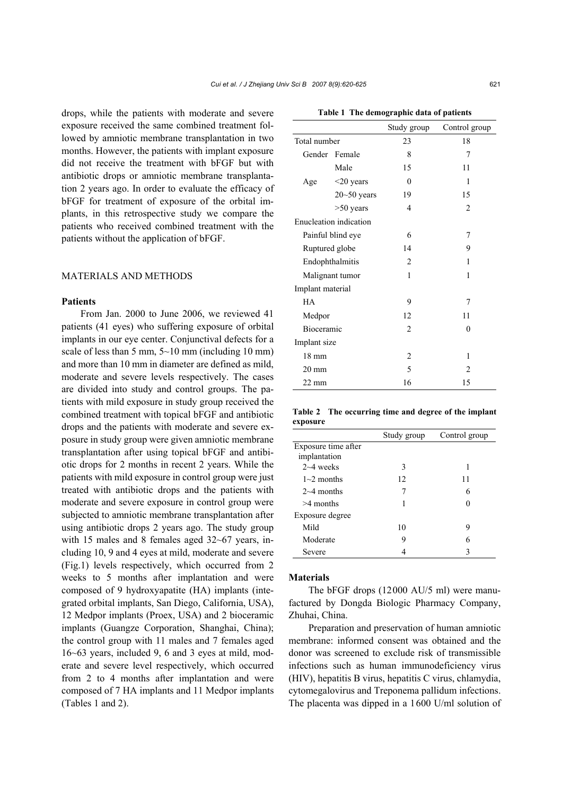drops, while the patients with moderate and severe exposure received the same combined treatment followed by amniotic membrane transplantation in two months. However, the patients with implant exposure did not receive the treatment with bFGF but with antibiotic drops or amniotic membrane transplantation 2 years ago. In order to evaluate the efficacy of bFGF for treatment of exposure of the orbital implants, in this retrospective study we compare the patients who received combined treatment with the patients without the application of bFGF.

## MATERIALS AND METHODS

#### **Patients**

From Jan. 2000 to June 2006, we reviewed 41 patients (41 eyes) who suffering exposure of orbital implants in our eye center. Conjunctival defects for a scale of less than 5 mm,  $5 \sim 10$  mm (including 10 mm) and more than 10 mm in diameter are defined as mild, moderate and severe levels respectively. The cases are divided into study and control groups. The patients with mild exposure in study group received the combined treatment with topical bFGF and antibiotic drops and the patients with moderate and severe exposure in study group were given amniotic membrane transplantation after using topical bFGF and antibiotic drops for 2 months in recent 2 years. While the patients with mild exposure in control group were just treated with antibiotic drops and the patients with moderate and severe exposure in control group were subjected to amniotic membrane transplantation after using antibiotic drops 2 years ago. The study group with 15 males and 8 females aged 32~67 years, including 10, 9 and 4 eyes at mild, moderate and severe (Fig.1) levels respectively, which occurred from 2 weeks to 5 months after implantation and were composed of 9 hydroxyapatite (HA) implants (integrated orbital implants, San Diego, California, USA), 12 Medpor implants (Proex, USA) and 2 bioceramic implants (Guangze Corporation, Shanghai, China); the control group with 11 males and 7 females aged 16~63 years, included 9, 6 and 3 eyes at mild, moderate and severe level respectively, which occurred from 2 to 4 months after implantation and were composed of 7 HA implants and 11 Medpor implants (Tables 1 and 2).

|                        |                 | Study group    | Control group  |
|------------------------|-----------------|----------------|----------------|
| Total number           |                 | 23             | 18             |
|                        | Gender Female   | 8              | 7              |
|                        | Male            | 15             | 11             |
| Age                    | $<$ 20 years    | $\mathbf{0}$   | 1              |
|                        | $20 - 50$ years | 19             | 15             |
|                        | $>50$ years     | $\overline{4}$ | $\overline{2}$ |
| Enucleation indication |                 |                |                |
| Painful blind eye      |                 | 6              | 7              |
| Ruptured globe         |                 | 14             | 9              |
| Endophthalmitis        |                 | $\overline{2}$ | 1              |
| Malignant tumor        |                 | $\mathbf{1}$   | 1              |
| Implant material       |                 |                |                |
| <b>HA</b>              |                 | 9              | 7              |
| Medpor                 |                 | 12             | 11             |
| Bioceramic             |                 | $\overline{2}$ | $\mathbf{0}$   |
| Implant size           |                 |                |                |
| $18 \text{ mm}$        |                 | $\overline{2}$ | 1              |
| $20 \text{ mm}$        |                 | 5              | $\overline{2}$ |
| $22 \text{ mm}$        |                 | 16             | 15             |

**Table 2 The occurring time and degree of the implant exposure**

|                     | Study group | Control group |
|---------------------|-------------|---------------|
| Exposure time after |             |               |
| implantation        |             |               |
| $2~4$ weeks         | 3           | 1             |
| $1\sim$ 2 months    | 12          | 11            |
| $2\sim$ 4 months    | 7           | 6             |
| $>4$ months         | 1           | 0             |
| Exposure degree     |             |               |
| Mild                | 10          | 9             |
| Moderate            | 9           | 6             |
| Severe              |             | 3             |

### **Materials**

The bFGF drops (12000 AU/5 ml) were manufactured by Dongda Biologic Pharmacy Company, Zhuhai, China.

Preparation and preservation of human amniotic membrane: informed consent was obtained and the donor was screened to exclude risk of transmissible infections such as human immunodeficiency virus (HIV), hepatitis B virus, hepatitis C virus, chlamydia, cytomegalovirus and Treponema pallidum infections. The placenta was dipped in a 1600 U/ml solution of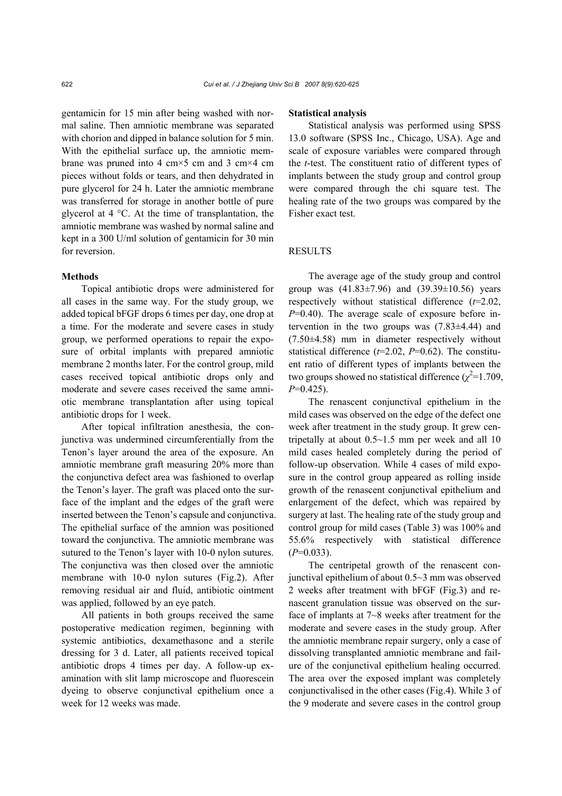gentamicin for 15 min after being washed with normal saline. Then amniotic membrane was separated with chorion and dipped in balance solution for 5 min. With the epithelial surface up, the amniotic membrane was pruned into 4 cm $\times$ 5 cm and 3 cm $\times$ 4 cm pieces without folds or tears, and then dehydrated in pure glycerol for 24 h. Later the amniotic membrane was transferred for storage in another bottle of pure glycerol at 4 °C. At the time of transplantation, the amniotic membrane was washed by normal saline and kept in a 300 U/ml solution of gentamicin for 30 min for reversion.

#### **Methods**

Topical antibiotic drops were administered for all cases in the same way. For the study group, we added topical bFGF drops 6 times per day, one drop at a time. For the moderate and severe cases in study group, we performed operations to repair the exposure of orbital implants with prepared amniotic membrane 2 months later. For the control group, mild cases received topical antibiotic drops only and moderate and severe cases received the same amniotic membrane transplantation after using topical antibiotic drops for 1 week.

After topical infiltration anesthesia, the conjunctiva was undermined circumferentially from the Tenon's layer around the area of the exposure. An amniotic membrane graft measuring 20% more than the conjunctiva defect area was fashioned to overlap the Tenon's layer. The graft was placed onto the surface of the implant and the edges of the graft were inserted between the Tenon's capsule and conjunctiva. The epithelial surface of the amnion was positioned toward the conjunctiva. The amniotic membrane was sutured to the Tenon's layer with 10-0 nylon sutures. The conjunctiva was then closed over the amniotic membrane with 10-0 nylon sutures (Fig.2). After removing residual air and fluid, antibiotic ointment was applied, followed by an eye patch.

All patients in both groups received the same postoperative medication regimen, beginning with systemic antibiotics, dexamethasone and a sterile dressing for 3 d. Later, all patients received topical antibiotic drops 4 times per day. A follow-up examination with slit lamp microscope and fluorescein dyeing to observe conjunctival epithelium once a week for 12 weeks was made.

#### **Statistical analysis**

Statistical analysis was performed using SPSS 13.0 software (SPSS Inc., Chicago, USA). Age and scale of exposure variables were compared through the *t*-test. The constituent ratio of different types of implants between the study group and control group were compared through the chi square test. The healing rate of the two groups was compared by the Fisher exact test.

#### RESULTS

The average age of the study group and control group was  $(41.83 \pm 7.96)$  and  $(39.39 \pm 10.56)$  years respectively without statistical difference (*t*=2.02, *P*=0.40). The average scale of exposure before intervention in the two groups was (7.83±4.44) and (7.50±4.58) mm in diameter respectively without statistical difference (*t*=2.02, *P*=0.62). The constituent ratio of different types of implants between the two groups showed no statistical difference  $(\chi^2=1.709)$ , *P*=0.425).

The renascent conjunctival epithelium in the mild cases was observed on the edge of the defect one week after treatment in the study group. It grew centripetally at about  $0.5 \sim 1.5$  mm per week and all 10 mild cases healed completely during the period of follow-up observation. While 4 cases of mild exposure in the control group appeared as rolling inside growth of the renascent conjunctival epithelium and enlargement of the defect, which was repaired by surgery at last. The healing rate of the study group and control group for mild cases (Table 3) was 100% and 55.6% respectively with statistical difference (*P*=0.033).

The centripetal growth of the renascent conjunctival epithelium of about 0.5~3 mm was observed 2 weeks after treatment with bFGF (Fig.3) and renascent granulation tissue was observed on the surface of implants at 7~8 weeks after treatment for the moderate and severe cases in the study group. After the amniotic membrane repair surgery, only a case of dissolving transplanted amniotic membrane and failure of the conjunctival epithelium healing occurred. The area over the exposed implant was completely conjunctivalised in the other cases (Fig.4). While 3 of the 9 moderate and severe cases in the control group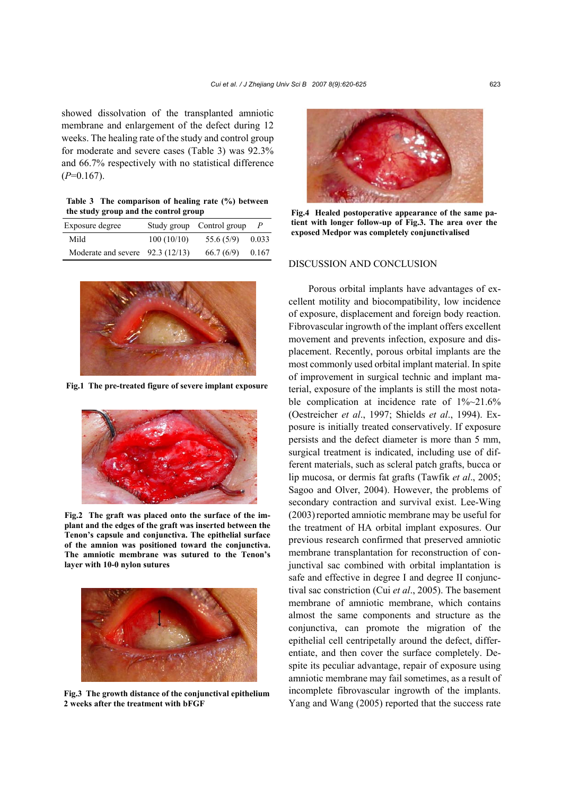showed dissolvation of the transplanted amniotic membrane and enlargement of the defect during 12 weeks. The healing rate of the study and control group for moderate and severe cases (Table 3) was 92.3% and 66.7% respectively with no statistical difference  $(P=0.167)$ .

**Table 3 The comparison of healing rate (%) between the study group and the control group**

| Exposure degree                   |            | Study group Control group |       |
|-----------------------------------|------------|---------------------------|-------|
| Mild                              | 100(10/10) | 55.6 (5/9)                | 0.033 |
| Moderate and severe $92.3(12/13)$ |            | 66.7(6/9)                 | 0.167 |



**Fig.1 The pre-treated figure of severe implant exposure**



**Fig.2 The graft was placed onto the surface of the implant and the edges of the graft was inserted between the Tenon's capsule and conjunctiva. The epithelial surface of the amnion was positioned toward the conjunctiva. The amniotic membrane was sutured to the Tenon's layer with 10-0 nylon sutures** 



**Fig.3 The growth distance of the conjunctival epithelium 2 weeks after the treatment with bFGF** 



**Fig.4 Healed postoperative appearance of the same patient with longer follow-up of Fig.3. The area over the exposed Medpor was completely conjunctivalised** 

## DISCUSSION AND CONCLUSION

Porous orbital implants have advantages of excellent motility and biocompatibility, low incidence of exposure, displacement and foreign body reaction. Fibrovascular ingrowth of the implant offers excellent movement and prevents infection, exposure and displacement. Recently, porous orbital implants are the most commonly used orbital implant material. In spite of improvement in surgical technic and implant material, exposure of the implants is still the most notable complication at incidence rate of 1%~21.6% (Oestreicher *et al*., 1997; Shields *et al*., 1994). Exposure is initially treated conservatively. If exposure persists and the defect diameter is more than 5 mm, surgical treatment is indicated, including use of different materials, such as scleral patch grafts, bucca or lip mucosa, or dermis fat grafts (Tawfik *et al*., 2005; Sagoo and Olver, 2004). However, the problems of secondary contraction and survival exist. Lee-Wing (2003)reported amniotic membrane may be useful for the treatment of HA orbital implant exposures. Our previous research confirmed that preserved amniotic membrane transplantation for reconstruction of conjunctival sac combined with orbital implantation is safe and effective in degree I and degree II conjunctival sac constriction (Cui *et al*., 2005). The basement membrane of amniotic membrane, which contains almost the same components and structure as the conjunctiva, can promote the migration of the epithelial cell centripetally around the defect, differentiate, and then cover the surface completely. Despite its peculiar advantage, repair of exposure using amniotic membrane may fail sometimes, as a result of incomplete fibrovascular ingrowth of the implants. Yang and Wang (2005) reported that the success rate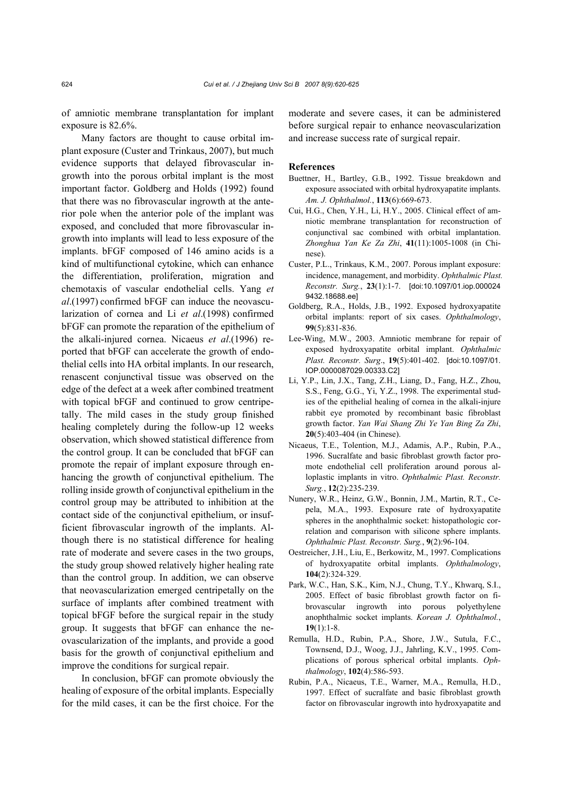of amniotic membrane transplantation for implant exposure is 82.6%.

Many factors are thought to cause orbital implant exposure (Custer and Trinkaus, 2007), but much evidence supports that delayed fibrovascular ingrowth into the porous orbital implant is the most important factor. Goldberg and Holds (1992) found that there was no fibrovascular ingrowth at the anterior pole when the anterior pole of the implant was exposed, and concluded that more fibrovascular ingrowth into implants will lead to less exposure of the implants. bFGF composed of 146 amino acids is a kind of multifunctional cytokine, which can enhance the differentiation, proliferation, migration and chemotaxis of vascular endothelial cells. Yang *et al*.(1997) confirmed bFGF can induce the neovascularization of cornea and Li *et al*.(1998) confirmed bFGF can promote the reparation of the epithelium of the alkali-injured cornea. Nicaeus *et al*.(1996) reported that bFGF can accelerate the growth of endothelial cells into HA orbital implants. In our research, renascent conjunctival tissue was observed on the edge of the defect at a week after combined treatment with topical bFGF and continued to grow centripetally. The mild cases in the study group finished healing completely during the follow-up 12 weeks observation, which showed statistical difference from the control group. It can be concluded that bFGF can promote the repair of implant exposure through enhancing the growth of conjunctival epithelium. The rolling inside growth of conjunctival epithelium in the control group may be attributed to inhibition at the contact side of the conjunctival epithelium, or insufficient fibrovascular ingrowth of the implants. Although there is no statistical difference for healing rate of moderate and severe cases in the two groups, the study group showed relatively higher healing rate than the control group. In addition, we can observe that neovascularization emerged centripetally on the surface of implants after combined treatment with topical bFGF before the surgical repair in the study group. It suggests that bFGF can enhance the neovascularization of the implants, and provide a good basis for the growth of conjunctival epithelium and improve the conditions for surgical repair.

In conclusion, bFGF can promote obviously the healing of exposure of the orbital implants. Especially for the mild cases, it can be the first choice. For the

moderate and severe cases, it can be administered before surgical repair to enhance neovascularization and increase success rate of surgical repair.

#### **References**

- Buettner, H., Bartley, G.B., 1992. Tissue breakdown and exposure associated with orbital hydroxyapatite implants. *Am. J. Ophthalmol.*, **113**(6):669-673.
- Cui, H.G., Chen, Y.H., Li, H.Y., 2005. Clinical effect of amniotic membrane transplantation for reconstruction of conjunctival sac combined with orbital implantation. *Zhonghua Yan Ke Za Zhi*, **41**(11):1005-1008 (in Chinese).
- Custer, P.L., Trinkaus, K.M., 2007. Porous implant exposure: incidence, management, and morbidity. *Ophthalmic Plast. Reconstr. Surg.*, **23**(1):1-7. [doi:10.1097/01.iop.000024 9432.18688.ee]
- Goldberg, R.A., Holds, J.B., 1992. Exposed hydroxyapatite orbital implants: report of six cases. *Ophthalmology*, **99**(5):831-836.
- Lee-Wing, M.W., 2003. Amniotic membrane for repair of exposed hydroxyapatite orbital implant. *Ophthalmic Plast. Reconstr. Surg*., **19**(5):401-402. [doi:10.1097/01. IOP.0000087029.00333.C2]
- Li, Y.P., Lin, J.X., Tang, Z.H., Liang, D., Fang, H.Z., Zhou, S.S., Feng, G.G., Yi, Y.Z., 1998. The experimental studies of the epithelial healing of cornea in the alkali-injure rabbit eye promoted by recombinant basic fibroblast growth factor. *Yan Wai Shang Zhi Ye Yan Bing Za Zhi*, **20**(5):403-404 (in Chinese).
- Nicaeus, T.E., Tolention, M.J., Adamis, A.P., Rubin, P.A., 1996. Sucralfate and basic fibroblast growth factor promote endothelial cell proliferation around porous alloplastic implants in vitro. *Ophthalmic Plast. Reconstr. Surg.*, **12**(2):235-239.
- Nunery, W.R., Heinz, G.W., Bonnin, J.M., Martin, R.T., Cepela, M.A., 1993. Exposure rate of hydroxyapatite spheres in the anophthalmic socket: histopathologic correlation and comparison with silicone sphere implants. *Ophthalmic Plast. Reconstr. Surg.*, **9**(2):96-104.
- Oestreicher, J.H., Liu, E., Berkowitz, M., 1997. Complications of hydroxyapatite orbital implants. *Ophthalmology*, **104**(2):324-329.
- Park, W.C., Han, S.K., Kim, N.J., Chung, T.Y., Khwarq, S.I., 2005. Effect of basic fibroblast growth factor on fibrovascular ingrowth into porous polyethylene anophthalmic socket implants. *Korean J. Ophthalmol.*, **19**(1):1-8.
- Remulla, H.D., Rubin, P.A., Shore, J.W., Sutula, F.C., Townsend, D.J., Woog, J.J., Jahrling, K.V., 1995. Complications of porous spherical orbital implants. *Ophthalmology*, **102**(4):586-593.
- Rubin, P.A., Nicaeus, T.E., Warner, M.A., Remulla, H.D., 1997. Effect of sucralfate and basic fibroblast growth factor on fibrovascular ingrowth into hydroxyapatite and